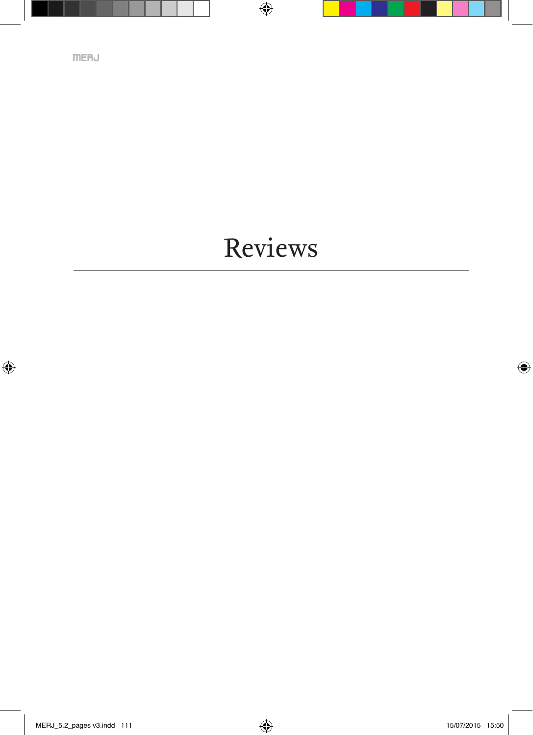**MERJ** 

# Reviews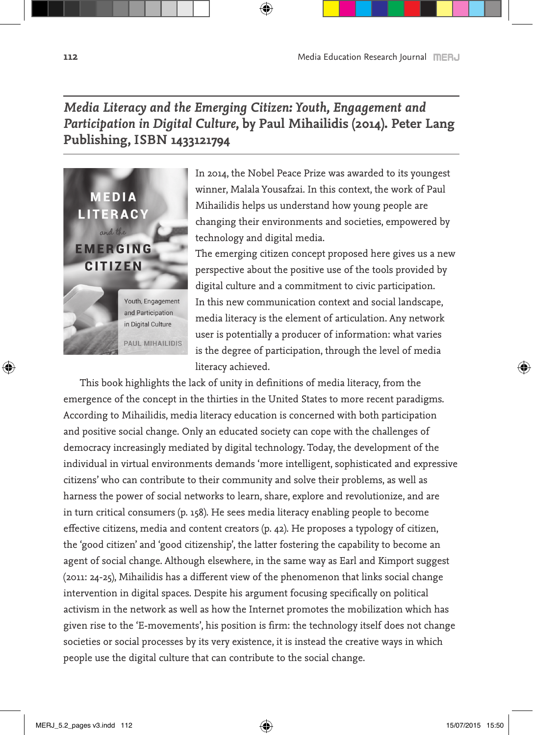*Media Literacy and the Emerging Citizen: Youth, Engagement and Participation in Digital Culture***, by Paul Mihailidis (2014). Peter Lang Publishing, ISBN 1433121794**



In 2014, the Nobel Peace Prize was awarded to its youngest winner, Malala Yousafzai. In this context, the work of Paul Mihailidis helps us understand how young people are changing their environments and societies, empowered by technology and digital media.

The emerging citizen concept proposed here gives us a new perspective about the positive use of the tools provided by digital culture and a commitment to civic participation. In this new communication context and social landscape, media literacy is the element of articulation. Any network user is potentially a producer of information: what varies is the degree of participation, through the level of media literacy achieved.

This book highlights the lack of unity in definitions of media literacy, from the emergence of the concept in the thirties in the United States to more recent paradigms. According to Mihailidis, media literacy education is concerned with both participation and positive social change. Only an educated society can cope with the challenges of democracy increasingly mediated by digital technology. Today, the development of the individual in virtual environments demands 'more intelligent, sophisticated and expressive citizens' who can contribute to their community and solve their problems, as well as harness the power of social networks to learn, share, explore and revolutionize, and are in turn critical consumers (p. 158). He sees media literacy enabling people to become effective citizens, media and content creators (p. 42). He proposes a typology of citizen, the 'good citizen' and 'good citizenship', the latter fostering the capability to become an agent of social change. Although elsewhere, in the same way as Earl and Kimport suggest (2011: 24-25), Mihailidis has a different view of the phenomenon that links social change intervention in digital spaces. Despite his argument focusing specifically on political activism in the network as well as how the Internet promotes the mobilization which has given rise to the 'E-movements', his position is firm: the technology itself does not change societies or social processes by its very existence, it is instead the creative ways in which people use the digital culture that can contribute to the social change.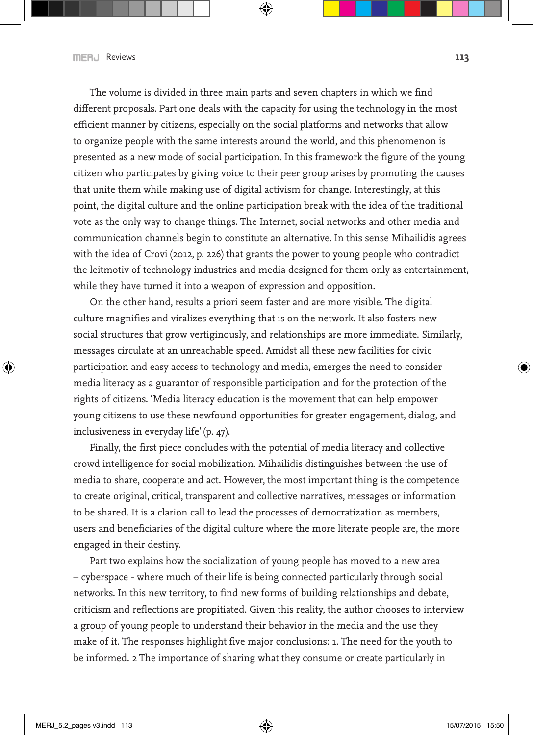The volume is divided in three main parts and seven chapters in which we find different proposals. Part one deals with the capacity for using the technology in the most efficient manner by citizens, especially on the social platforms and networks that allow to organize people with the same interests around the world, and this phenomenon is presented as a new mode of social participation. In this framework the figure of the young citizen who participates by giving voice to their peer group arises by promoting the causes that unite them while making use of digital activism for change. Interestingly, at this point, the digital culture and the online participation break with the idea of the traditional vote as the only way to change things. The Internet, social networks and other media and communication channels begin to constitute an alternative. In this sense Mihailidis agrees with the idea of Crovi (2012, p. 226) that grants the power to young people who contradict the leitmotiv of technology industries and media designed for them only as entertainment, while they have turned it into a weapon of expression and opposition.

On the other hand, results a priori seem faster and are more visible. The digital culture magnifies and viralizes everything that is on the network. It also fosters new social structures that grow vertiginously, and relationships are more immediate. Similarly, messages circulate at an unreachable speed. Amidst all these new facilities for civic participation and easy access to technology and media, emerges the need to consider media literacy as a guarantor of responsible participation and for the protection of the rights of citizens. 'Media literacy education is the movement that can help empower young citizens to use these newfound opportunities for greater engagement, dialog, and inclusiveness in everyday life' (p. 47).

Finally, the first piece concludes with the potential of media literacy and collective crowd intelligence for social mobilization. Mihailidis distinguishes between the use of media to share, cooperate and act. However, the most important thing is the competence to create original, critical, transparent and collective narratives, messages or information to be shared. It is a clarion call to lead the processes of democratization as members, users and beneficiaries of the digital culture where the more literate people are, the more engaged in their destiny.

Part two explains how the socialization of young people has moved to a new area – cyberspace - where much of their life is being connected particularly through social networks. In this new territory, to find new forms of building relationships and debate, criticism and reflections are propitiated. Given this reality, the author chooses to interview a group of young people to understand their behavior in the media and the use they make of it. The responses highlight five major conclusions: 1. The need for the youth to be informed. 2 The importance of sharing what they consume or create particularly in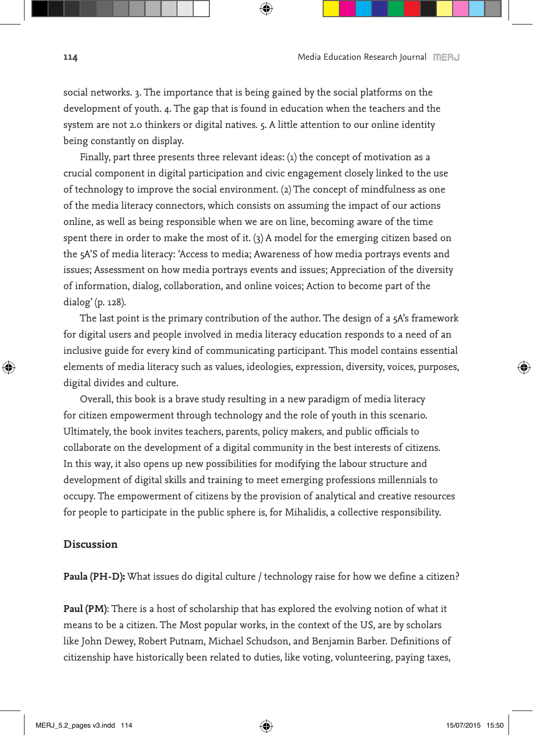social networks. 3. The importance that is being gained by the social platforms on the development of youth. 4. The gap that is found in education when the teachers and the system are not 2.0 thinkers or digital natives. 5. A little attention to our online identity being constantly on display.

Finally, part three presents three relevant ideas: (1) the concept of motivation as a crucial component in digital participation and civic engagement closely linked to the use of technology to improve the social environment. (2) The concept of mindfulness as one of the media literacy connectors, which consists on assuming the impact of our actions online, as well as being responsible when we are on line, becoming aware of the time spent there in order to make the most of it. (3) A model for the emerging citizen based on the 5A'S of media literacy: 'Access to media; Awareness of how media portrays events and issues; Assessment on how media portrays events and issues; Appreciation of the diversity of information, dialog, collaboration, and online voices; Action to become part of the dialog' (p. 128).

The last point is the primary contribution of the author. The design of a 5A's framework for digital users and people involved in media literacy education responds to a need of an inclusive guide for every kind of communicating participant. This model contains essential elements of media literacy such as values, ideologies, expression, diversity, voices, purposes, digital divides and culture.

Overall, this book is a brave study resulting in a new paradigm of media literacy for citizen empowerment through technology and the role of youth in this scenario. Ultimately, the book invites teachers, parents, policy makers, and public officials to collaborate on the development of a digital community in the best interests of citizens. In this way, it also opens up new possibilities for modifying the labour structure and development of digital skills and training to meet emerging professions millennials to occupy. The empowerment of citizens by the provision of analytical and creative resources for people to participate in the public sphere is, for Mihalidis, a collective responsibility.

### **Discussion**

Paula (PH-D): What issues do digital culture / technology raise for how we define a citizen?

**Paul (PM)**: There is a host of scholarship that has explored the evolving notion of what it means to be a citizen. The Most popular works, in the context of the US, are by scholars like John Dewey, Robert Putnam, Michael Schudson, and Benjamin Barber. Definitions of citizenship have historically been related to duties, like voting, volunteering, paying taxes,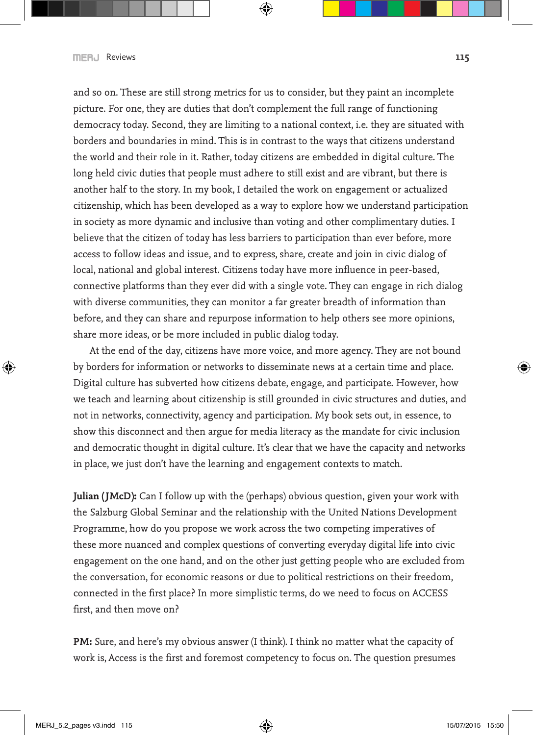and so on. These are still strong metrics for us to consider, but they paint an incomplete picture. For one, they are duties that don't complement the full range of functioning democracy today. Second, they are limiting to a national context, i.e. they are situated with borders and boundaries in mind. This is in contrast to the ways that citizens understand the world and their role in it. Rather, today citizens are embedded in digital culture. The long held civic duties that people must adhere to still exist and are vibrant, but there is another half to the story. In my book, I detailed the work on engagement or actualized citizenship, which has been developed as a way to explore how we understand participation in society as more dynamic and inclusive than voting and other complimentary duties. I believe that the citizen of today has less barriers to participation than ever before, more access to follow ideas and issue, and to express, share, create and join in civic dialog of local, national and global interest. Citizens today have more influence in peer-based, connective platforms than they ever did with a single vote. They can engage in rich dialog with diverse communities, they can monitor a far greater breadth of information than before, and they can share and repurpose information to help others see more opinions, share more ideas, or be more included in public dialog today.

At the end of the day, citizens have more voice, and more agency. They are not bound by borders for information or networks to disseminate news at a certain time and place. Digital culture has subverted how citizens debate, engage, and participate. However, how we teach and learning about citizenship is still grounded in civic structures and duties, and not in networks, connectivity, agency and participation. My book sets out, in essence, to show this disconnect and then argue for media literacy as the mandate for civic inclusion and democratic thought in digital culture. It's clear that we have the capacity and networks in place, we just don't have the learning and engagement contexts to match.

**Julian (JMcD):** Can I follow up with the (perhaps) obvious question, given your work with the Salzburg Global Seminar and the relationship with the United Nations Development Programme, how do you propose we work across the two competing imperatives of these more nuanced and complex questions of converting everyday digital life into civic engagement on the one hand, and on the other just getting people who are excluded from the conversation, for economic reasons or due to political restrictions on their freedom, connected in the first place? In more simplistic terms, do we need to focus on ACCESS first, and then move on?

**PM:** Sure, and here's my obvious answer (I think). I think no matter what the capacity of work is, Access is the first and foremost competency to focus on. The question presumes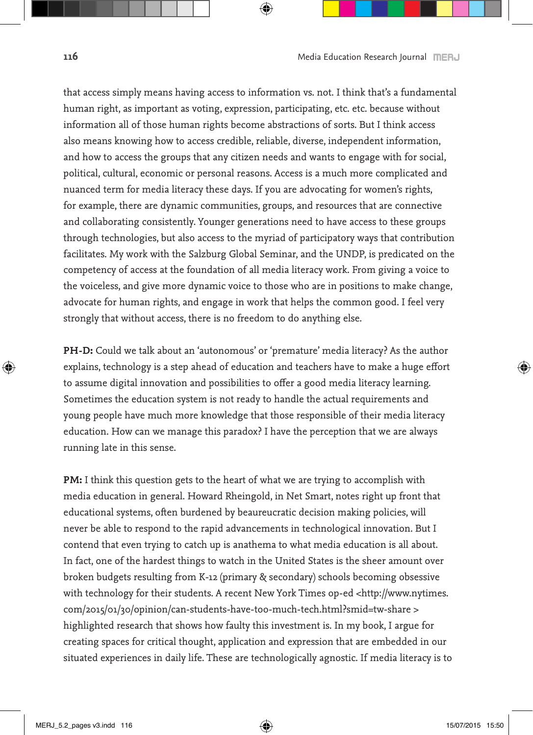that access simply means having access to information vs. not. I think that's a fundamental human right, as important as voting, expression, participating, etc. etc. because without information all of those human rights become abstractions of sorts. But I think access also means knowing how to access credible, reliable, diverse, independent information, and how to access the groups that any citizen needs and wants to engage with for social, political, cultural, economic or personal reasons. Access is a much more complicated and nuanced term for media literacy these days. If you are advocating for women's rights, for example, there are dynamic communities, groups, and resources that are connective and collaborating consistently. Younger generations need to have access to these groups through technologies, but also access to the myriad of participatory ways that contribution facilitates. My work with the Salzburg Global Seminar, and the UNDP, is predicated on the competency of access at the foundation of all media literacy work. From giving a voice to the voiceless, and give more dynamic voice to those who are in positions to make change, advocate for human rights, and engage in work that helps the common good. I feel very strongly that without access, there is no freedom to do anything else.

**PH-D:** Could we talk about an 'autonomous' or 'premature' media literacy? As the author explains, technology is a step ahead of education and teachers have to make a huge effort to assume digital innovation and possibilities to offer a good media literacy learning. Sometimes the education system is not ready to handle the actual requirements and young people have much more knowledge that those responsible of their media literacy education. How can we manage this paradox? I have the perception that we are always running late in this sense.

**PM:** I think this question gets to the heart of what we are trying to accomplish with media education in general. Howard Rheingold, in Net Smart, notes right up front that educational systems, often burdened by beaureucratic decision making policies, will never be able to respond to the rapid advancements in technological innovation. But I contend that even trying to catch up is anathema to what media education is all about. In fact, one of the hardest things to watch in the United States is the sheer amount over broken budgets resulting from K-12 (primary & secondary) schools becoming obsessive with technology for their students. A recent New York Times op-ed <http://www.nytimes. com/2015/01/30/opinion/can-students-have-too-much-tech.html?smid=tw-share > highlighted research that shows how faulty this investment is. In my book, I argue for creating spaces for critical thought, application and expression that are embedded in our situated experiences in daily life. These are technologically agnostic. If media literacy is to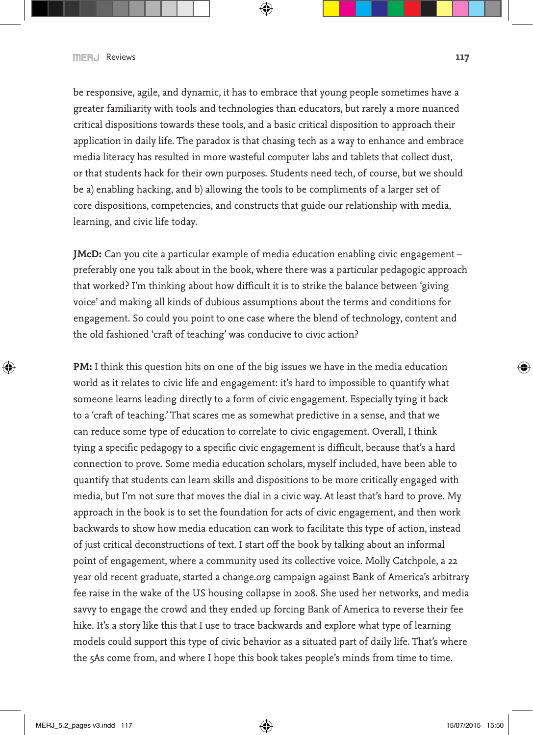be responsive, agile, and dynamic, it has to embrace that young people sometimes have a greater familiarity with tools and technologies than educators, but rarely a more nuanced critical dispositions towards these tools, and a basic critical disposition to approach their application in daily life. The paradox is that chasing tech as a way to enhance and embrace media literacy has resulted in more wasteful computer labs and tablets that collect dust, or that students hack for their own purposes. Students need tech, of course, but we should be a) enabling hacking, and b) allowing the tools to be compliments of a larger set of core dispositions, competencies, and constructs that guide our relationship with media, learning, and civic life today.

**JMcD:** Can you cite a particular example of media education enabling civic engagement – preferably one you talk about in the book, where there was a particular pedagogic approach that worked? I'm thinking about how difficult it is to strike the balance between 'giving voice' and making all kinds of dubious assumptions about the terms and conditions for engagement. So could you point to one case where the blend of technology, content and the old fashioned 'craft of teaching' was conducive to civic action?

**PM:** I think this question hits on one of the big issues we have in the media education world as it relates to civic life and engagement: it's hard to impossible to quantify what someone learns leading directly to a form of civic engagement. Especially tying it back to a 'craft of teaching.' That scares me as somewhat predictive in a sense, and that we can reduce some type of education to correlate to civic engagement. Overall, I think tying a specific pedagogy to a specific civic engagement is difficult, because that's a hard connection to prove. Some media education scholars, myself included, have been able to quantify that students can learn skills and dispositions to be more critically engaged with media, but I'm not sure that moves the dial in a civic way. At least that's hard to prove. My approach in the book is to set the foundation for acts of civic engagement, and then work backwards to show how media education can work to facilitate this type of action, instead of just critical deconstructions of text. I start off the book by talking about an informal point of engagement, where a community used its collective voice. Molly Catchpole, a 22 year old recent graduate, started a change.org campaign against Bank of America's arbitrary fee raise in the wake of the US housing collapse in 2008. She used her networks, and media savvy to engage the crowd and they ended up forcing Bank of America to reverse their fee hike. It's a story like this that I use to trace backwards and explore what type of learning models could support this type of civic behavior as a situated part of daily life. That's where the 5As come from, and where I hope this book takes people's minds from time to time.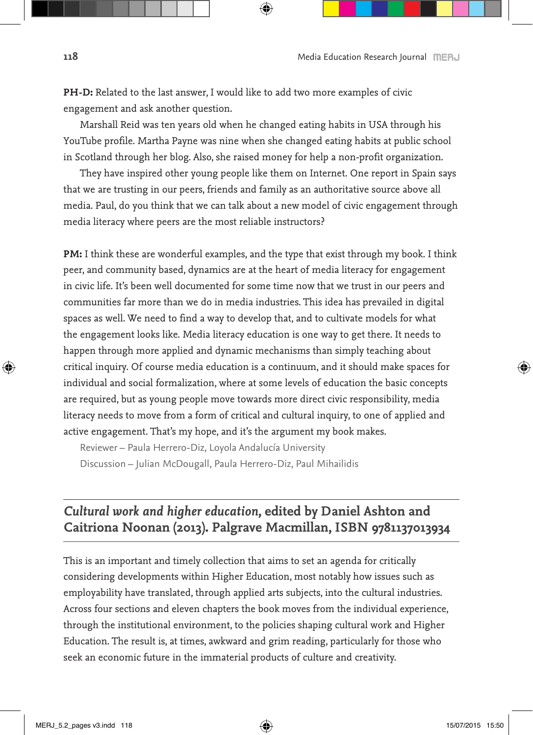**PH-D:** Related to the last answer, I would like to add two more examples of civic engagement and ask another question.

Marshall Reid was ten years old when he changed eating habits in USA through his YouTube profile. Martha Payne was nine when she changed eating habits at public school in Scotland through her blog. Also, she raised money for help a non-profit organization.

They have inspired other young people like them on Internet. One report in Spain says that we are trusting in our peers, friends and family as an authoritative source above all media. Paul, do you think that we can talk about a new model of civic engagement through media literacy where peers are the most reliable instructors?

**PM:** I think these are wonderful examples, and the type that exist through my book. I think peer, and community based, dynamics are at the heart of media literacy for engagement in civic life. It's been well documented for some time now that we trust in our peers and communities far more than we do in media industries. This idea has prevailed in digital spaces as well. We need to find a way to develop that, and to cultivate models for what the engagement looks like. Media literacy education is one way to get there. It needs to happen through more applied and dynamic mechanisms than simply teaching about critical inquiry. Of course media education is a continuum, and it should make spaces for individual and social formalization, where at some levels of education the basic concepts are required, but as young people move towards more direct civic responsibility, media literacy needs to move from a form of critical and cultural inquiry, to one of applied and active engagement. That's my hope, and it's the argument my book makes.

Reviewer – Paula Herrero-Diz, Loyola Andalucía University Discussion – Julian McDougall, Paula Herrero-Diz, Paul Mihailidis

## *Cultural work and higher education***, edited by Daniel Ashton and Caitriona Noonan (2013). Palgrave Macmillan, ISBN 9781137013934**

This is an important and timely collection that aims to set an agenda for critically considering developments within Higher Education, most notably how issues such as employability have translated, through applied arts subjects, into the cultural industries. Across four sections and eleven chapters the book moves from the individual experience, through the institutional environment, to the policies shaping cultural work and Higher Education. The result is, at times, awkward and grim reading, particularly for those who seek an economic future in the immaterial products of culture and creativity.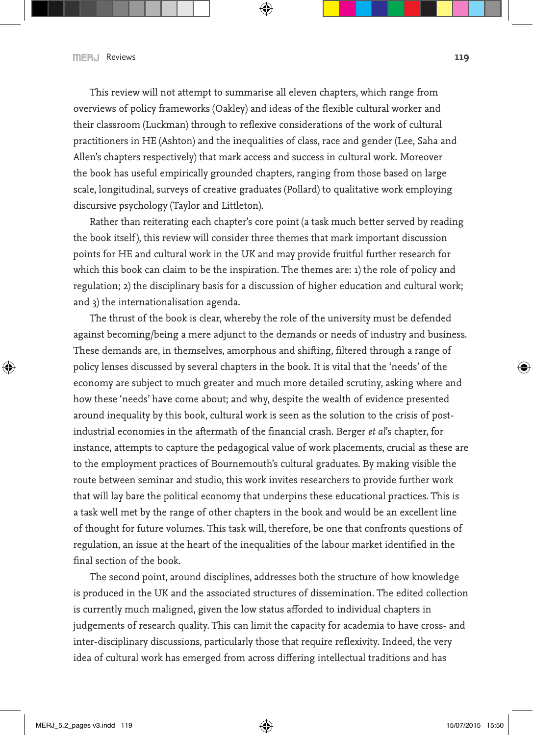This review will not attempt to summarise all eleven chapters, which range from overviews of policy frameworks (Oakley) and ideas of the flexible cultural worker and their classroom (Luckman) through to reflexive considerations of the work of cultural practitioners in HE (Ashton) and the inequalities of class, race and gender (Lee, Saha and Allen's chapters respectively) that mark access and success in cultural work. Moreover the book has useful empirically grounded chapters, ranging from those based on large scale, longitudinal, surveys of creative graduates (Pollard) to qualitative work employing discursive psychology (Taylor and Littleton).

Rather than reiterating each chapter's core point (a task much better served by reading the book itself ), this review will consider three themes that mark important discussion points for HE and cultural work in the UK and may provide fruitful further research for which this book can claim to be the inspiration. The themes are: 1) the role of policy and regulation; 2) the disciplinary basis for a discussion of higher education and cultural work; and 3) the internationalisation agenda.

The thrust of the book is clear, whereby the role of the university must be defended against becoming/being a mere adjunct to the demands or needs of industry and business. These demands are, in themselves, amorphous and shifting, filtered through a range of policy lenses discussed by several chapters in the book. It is vital that the 'needs' of the economy are subject to much greater and much more detailed scrutiny, asking where and how these 'needs' have come about; and why, despite the wealth of evidence presented around inequality by this book, cultural work is seen as the solution to the crisis of postindustrial economies in the aftermath of the financial crash. Berger *et al*'s chapter, for instance, attempts to capture the pedagogical value of work placements, crucial as these are to the employment practices of Bournemouth's cultural graduates. By making visible the route between seminar and studio, this work invites researchers to provide further work that will lay bare the political economy that underpins these educational practices. This is a task well met by the range of other chapters in the book and would be an excellent line of thought for future volumes. This task will, therefore, be one that confronts questions of regulation, an issue at the heart of the inequalities of the labour market identified in the final section of the book.

The second point, around disciplines, addresses both the structure of how knowledge is produced in the UK and the associated structures of dissemination. The edited collection is currently much maligned, given the low status afforded to individual chapters in judgements of research quality. This can limit the capacity for academia to have cross- and inter-disciplinary discussions, particularly those that require reflexivity. Indeed, the very idea of cultural work has emerged from across differing intellectual traditions and has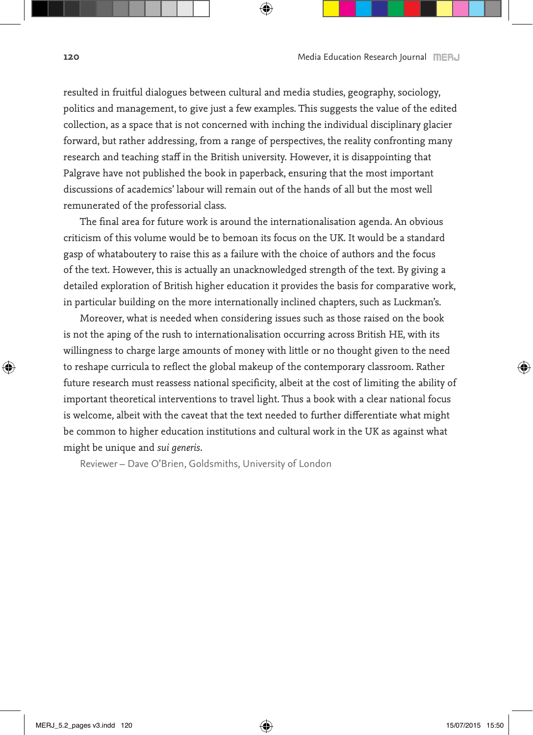resulted in fruitful dialogues between cultural and media studies, geography, sociology, politics and management, to give just a few examples. This suggests the value of the edited collection, as a space that is not concerned with inching the individual disciplinary glacier forward, but rather addressing, from a range of perspectives, the reality confronting many research and teaching staff in the British university. However, it is disappointing that Palgrave have not published the book in paperback, ensuring that the most important discussions of academics' labour will remain out of the hands of all but the most well remunerated of the professorial class.

The final area for future work is around the internationalisation agenda. An obvious criticism of this volume would be to bemoan its focus on the UK. It would be a standard gasp of whataboutery to raise this as a failure with the choice of authors and the focus of the text. However, this is actually an unacknowledged strength of the text. By giving a detailed exploration of British higher education it provides the basis for comparative work, in particular building on the more internationally inclined chapters, such as Luckman's.

Moreover, what is needed when considering issues such as those raised on the book is not the aping of the rush to internationalisation occurring across British HE, with its willingness to charge large amounts of money with little or no thought given to the need to reshape curricula to reflect the global makeup of the contemporary classroom. Rather future research must reassess national specificity, albeit at the cost of limiting the ability of important theoretical interventions to travel light. Thus a book with a clear national focus is welcome, albeit with the caveat that the text needed to further differentiate what might be common to higher education institutions and cultural work in the UK as against what might be unique and *sui generis*.

Reviewer – Dave O'Brien, Goldsmiths, University of London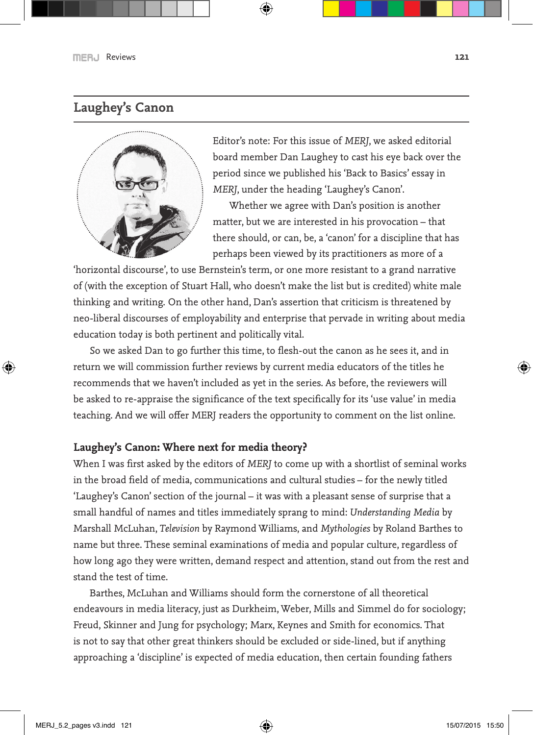## **Laughey's Canon**



Editor's note: For this issue of *MERJ*, we asked editorial board member Dan Laughey to cast his eye back over the period since we published his 'Back to Basics' essay in *MERJ*, under the heading 'Laughey's Canon'.

Whether we agree with Dan's position is another matter, but we are interested in his provocation – that there should, or can, be, a 'canon' for a discipline that has perhaps been viewed by its practitioners as more of a

'horizontal discourse', to use Bernstein's term, or one more resistant to a grand narrative of (with the exception of Stuart Hall, who doesn't make the list but is credited) white male thinking and writing. On the other hand, Dan's assertion that criticism is threatened by neo-liberal discourses of employability and enterprise that pervade in writing about media education today is both pertinent and politically vital.

So we asked Dan to go further this time, to flesh-out the canon as he sees it, and in return we will commission further reviews by current media educators of the titles he recommends that we haven't included as yet in the series. As before, the reviewers will be asked to re-appraise the significance of the text specifically for its 'use value' in media teaching. And we will offer MERJ readers the opportunity to comment on the list online.

#### **Laughey's Canon: Where next for media theory?**

When I was first asked by the editors of *MERJ* to come up with a shortlist of seminal works in the broad field of media, communications and cultural studies – for the newly titled 'Laughey's Canon' section of the journal – it was with a pleasant sense of surprise that a small handful of names and titles immediately sprang to mind: *Understanding Media* by Marshall McLuhan, *Television* by Raymond Williams, and *Mythologies* by Roland Barthes to name but three. These seminal examinations of media and popular culture, regardless of how long ago they were written, demand respect and attention, stand out from the rest and stand the test of time.

Barthes, McLuhan and Williams should form the cornerstone of all theoretical endeavours in media literacy, just as Durkheim, Weber, Mills and Simmel do for sociology; Freud, Skinner and Jung for psychology; Marx, Keynes and Smith for economics. That is not to say that other great thinkers should be excluded or side-lined, but if anything approaching a 'discipline' is expected of media education, then certain founding fathers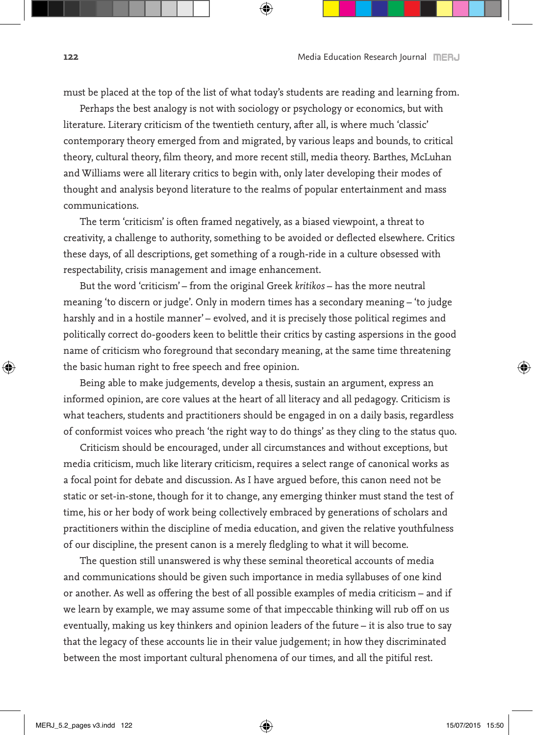must be placed at the top of the list of what today's students are reading and learning from.

Perhaps the best analogy is not with sociology or psychology or economics, but with literature. Literary criticism of the twentieth century, after all, is where much 'classic' contemporary theory emerged from and migrated, by various leaps and bounds, to critical theory, cultural theory, film theory, and more recent still, media theory. Barthes, McLuhan and Williams were all literary critics to begin with, only later developing their modes of thought and analysis beyond literature to the realms of popular entertainment and mass communications.

The term 'criticism' is often framed negatively, as a biased viewpoint, a threat to creativity, a challenge to authority, something to be avoided or deflected elsewhere. Critics these days, of all descriptions, get something of a rough-ride in a culture obsessed with respectability, crisis management and image enhancement.

But the word 'criticism' – from the original Greek *kritikos* – has the more neutral meaning 'to discern or judge'. Only in modern times has a secondary meaning – 'to judge harshly and in a hostile manner' - evolved, and it is precisely those political regimes and politically correct do-gooders keen to belittle their critics by casting aspersions in the good name of criticism who foreground that secondary meaning, at the same time threatening the basic human right to free speech and free opinion.

Being able to make judgements, develop a thesis, sustain an argument, express an informed opinion, are core values at the heart of all literacy and all pedagogy. Criticism is what teachers, students and practitioners should be engaged in on a daily basis, regardless of conformist voices who preach 'the right way to do things' as they cling to the status quo.

Criticism should be encouraged, under all circumstances and without exceptions, but media criticism, much like literary criticism, requires a select range of canonical works as a focal point for debate and discussion. As I have argued before, this canon need not be static or set-in-stone, though for it to change, any emerging thinker must stand the test of time, his or her body of work being collectively embraced by generations of scholars and practitioners within the discipline of media education, and given the relative youthfulness of our discipline, the present canon is a merely fledgling to what it will become.

The question still unanswered is why these seminal theoretical accounts of media and communications should be given such importance in media syllabuses of one kind or another. As well as offering the best of all possible examples of media criticism – and if we learn by example, we may assume some of that impeccable thinking will rub off on us eventually, making us key thinkers and opinion leaders of the future – it is also true to say that the legacy of these accounts lie in their value judgement; in how they discriminated between the most important cultural phenomena of our times, and all the pitiful rest.